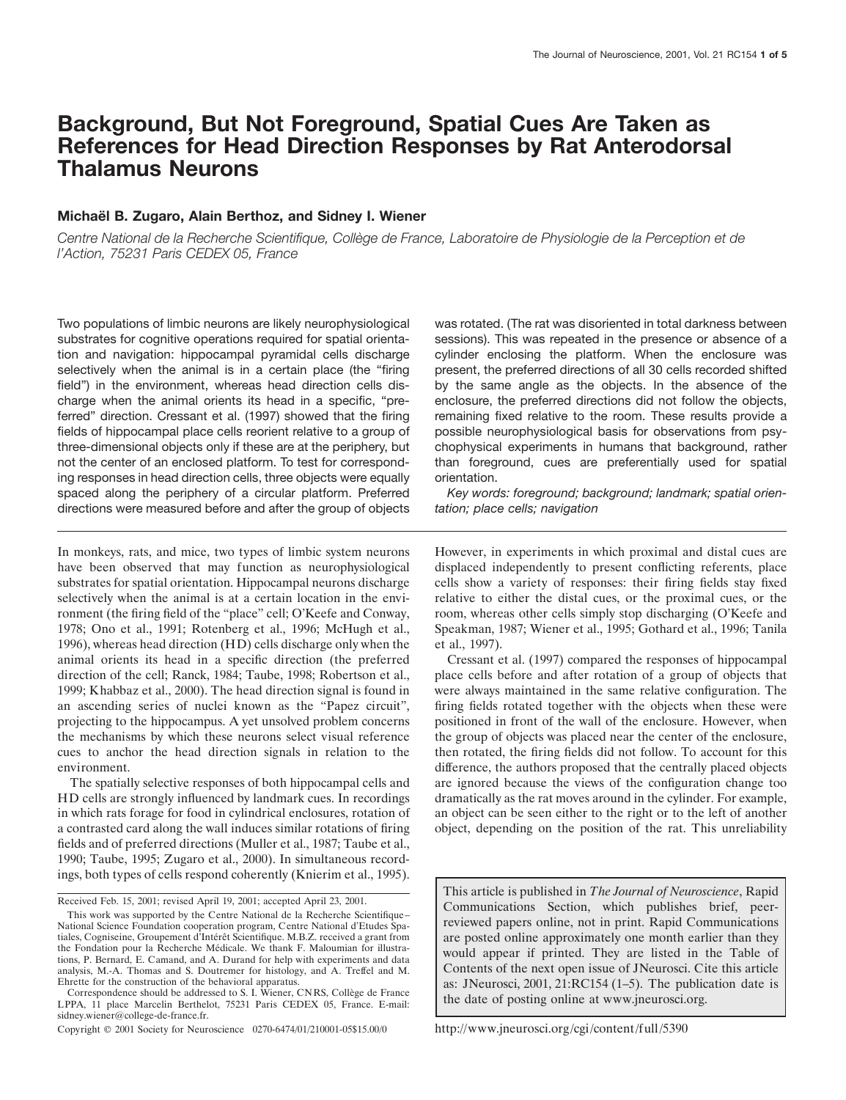# **Background, But Not Foreground, Spatial Cues Are Taken as References for Head Direction Responses by Rat Anterodorsal Thalamus Neurons**

## **Michaël B. Zugaro, Alain Berthoz, and Sidney I. Wiener**

*Centre National de la Recherche Scientifique, Colle` ge de France, Laboratoire de Physiologie de la Perception et de l'Action, 75231 Paris CEDEX 05, France*

Two populations of limbic neurons are likely neurophysiological substrates for cognitive operations required for spatial orientation and navigation: hippocampal pyramidal cells discharge selectively when the animal is in a certain place (the "firing field") in the environment, whereas head direction cells discharge when the animal orients its head in a specific, "preferred" direction. Cressant et al. (1997) showed that the firing fields of hippocampal place cells reorient relative to a group of three-dimensional objects only if these are at the periphery, but not the center of an enclosed platform. To test for corresponding responses in head direction cells, three objects were equally spaced along the periphery of a circular platform. Preferred directions were measured before and after the group of objects

In monkeys, rats, and mice, two types of limbic system neurons have been observed that may function as neurophysiological substrates for spatial orientation. Hippocampal neurons discharge selectively when the animal is at a certain location in the environment (the firing field of the "place" cell; O'Keefe and Conway, 1978; Ono et al., 1991; Rotenberg et al., 1996; McHugh et al., 1996), whereas head direction (HD) cells discharge only when the animal orients its head in a specific direction (the preferred direction of the cell; Ranck, 1984; Taube, 1998; Robertson et al., 1999; Khabbaz et al., 2000). The head direction signal is found in an ascending series of nuclei known as the "Papez circuit", projecting to the hippocampus. A yet unsolved problem concerns the mechanisms by which these neurons select visual reference cues to anchor the head direction signals in relation to the environment.

The spatially selective responses of both hippocampal cells and HD cells are strongly influenced by landmark cues. In recordings in which rats forage for food in cylindrical enclosures, rotation of a contrasted card along the wall induces similar rotations of firing fields and of preferred directions (Muller et al., 1987; Taube et al., 1990; Taube, 1995; Zugaro et al., 2000). In simultaneous recordings, both types of cells respond coherently (Knierim et al., 1995).

Copyright © 2001 Society for Neuroscience 0270-6474/01/210001-05\$15.00/0

was rotated. (The rat was disoriented in total darkness between sessions). This was repeated in the presence or absence of a cylinder enclosing the platform. When the enclosure was present, the preferred directions of all 30 cells recorded shifted by the same angle as the objects. In the absence of the enclosure, the preferred directions did not follow the objects, remaining fixed relative to the room. These results provide a possible neurophysiological basis for observations from psychophysical experiments in humans that background, rather than foreground, cues are preferentially used for spatial orientation.

*Key words: foreground; background; landmark; spatial orientation; place cells; navigation*

However, in experiments in which proximal and distal cues are displaced independently to present conflicting referents, place cells show a variety of responses: their firing fields stay fixed relative to either the distal cues, or the proximal cues, or the room, whereas other cells simply stop discharging (O'Keefe and Speakman, 1987; Wiener et al., 1995; Gothard et al., 1996; Tanila et al., 1997).

Cressant et al. (1997) compared the responses of hippocampal place cells before and after rotation of a group of objects that were always maintained in the same relative configuration. The firing fields rotated together with the objects when these were positioned in front of the wall of the enclosure. However, when the group of objects was placed near the center of the enclosure, then rotated, the firing fields did not follow. To account for this difference, the authors proposed that the centrally placed objects are ignored because the views of the configuration change too dramatically as the rat moves around in the cylinder. For example, an object can be seen either to the right or to the left of another object, depending on the position of the rat. This unreliability

This article is published in *The Journal of Neuroscience*, Rapid Communications Section, which publishes brief, peerreviewed papers online, not in print. Rapid Communications are posted online approximately one month earlier than they would appear if printed. They are listed in the Table of Contents of the next open issue of JNeurosci. Cite this article as: JNeurosci, 2001, 21:RC154 (1–5). The publication date is the date of posting online at www.jneurosci.org.

http://www.jneurosci.org/cgi/content/full/5390

Received Feb. 15, 2001; revised April 19, 2001; accepted April 23, 2001.

This work was supported by the Centre National de la Recherche Scientifique– National Science Foundation cooperation program, Centre National d'Etudes Spatiales, Cogniseine, Groupement d'Intérêt Scientifique. M.B.Z. received a grant from the Fondation pour la Recherche Médicale. We thank F. Maloumian for illustrations, P. Bernard, E. Camand, and A. Durand for help with experiments and data analysis, M.-A. Thomas and S. Doutremer for histology, and A. Treffel and M. Ehrette for the construction of the behavioral apparatus.

Correspondence should be addressed to S. I. Wiener, CNRS, Collège de France LPPA, 11 place Marcelin Berthelot, 75231 Paris CEDEX 05, France. E-mail: sidney.wiener@college-de-france.fr.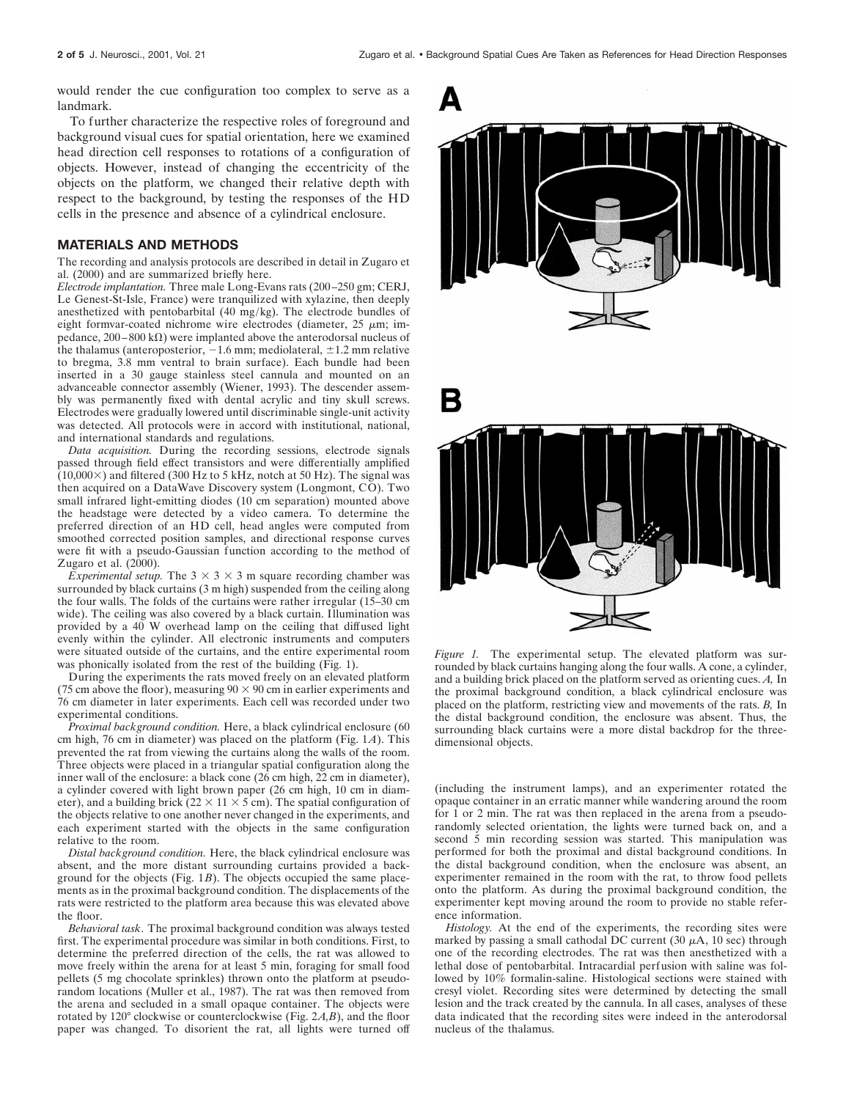would render the cue configuration too complex to serve as a landmark.

To further characterize the respective roles of foreground and background visual cues for spatial orientation, here we examined head direction cell responses to rotations of a configuration of objects. However, instead of changing the eccentricity of the objects on the platform, we changed their relative depth with respect to the background, by testing the responses of the HD cells in the presence and absence of a cylindrical enclosure.

#### **MATERIALS AND METHODS**

The recording and analysis protocols are described in detail in Zugaro et al. (2000) and are summarized briefly here.

*Electrode implantation.* Three male Long-Evans rats (200–250 gm; CERJ, Le Genest-St-Isle, France) were tranquilized with xylazine, then deeply anesthetized with pentobarbital (40 mg/kg). The electrode bundles of eight formvar-coated nichrome wire electrodes (diameter,  $25 \mu m$ ; impedance,  $200-800 \text{ k}\Omega$ ) were implanted above the anterodorsal nucleus of the thalamus (anteroposterior,  $-1.6$  mm; mediolateral,  $\pm 1.2$  mm relative to bregma, 3.8 mm ventral to brain surface). Each bundle had been inserted in a 30 gauge stainless steel cannula and mounted on an advanceable connector assembly (Wiener, 1993). The descender assembly was permanently fixed with dental acrylic and tiny skull screws. Electrodes were gradually lowered until discriminable single-unit activity was detected. All protocols were in accord with institutional, national, and international standards and regulations.

*Data acquisition.* During the recording sessions, electrode signals passed through field effect transistors and were differentially amplified  $(10,000\times)$  and filtered (300 Hz to 5 kHz, notch at 50 Hz). The signal was then acquired on a DataWave Discovery system (Longmont, CO). Two small infrared light-emitting diodes (10 cm separation) mounted above the headstage were detected by a video camera. To determine the preferred direction of an HD cell, head angles were computed from smoothed corrected position samples, and directional response curves were fit with a pseudo-Gaussian function according to the method of Zugaro et al. (2000).

*Experimental setup.* The  $3 \times 3 \times 3$  m square recording chamber was surrounded by black curtains (3 m high) suspended from the ceiling along the four walls. The folds of the curtains were rather irregular (15–30 cm wide). The ceiling was also covered by a black curtain. Illumination was provided by a 40 W overhead lamp on the ceiling that diffused light evenly within the cylinder. All electronic instruments and computers were situated outside of the curtains, and the entire experimental room was phonically isolated from the rest of the building (Fig. 1).

During the experiments the rats moved freely on an elevated platform (75 cm above the floor), measuring  $90 \times 90$  cm in earlier experiments and 76 cm diameter in later experiments. Each cell was recorded under two experimental conditions.

*Proximal background condition.* Here, a black cylindrical enclosure (60 cm high, 76 cm in diameter) was placed on the platform (Fig. 1*A*). This prevented the rat from viewing the curtains along the walls of the room. Three objects were placed in a triangular spatial configuration along the inner wall of the enclosure: a black cone (26 cm high, 22 cm in diameter), a cylinder covered with light brown paper (26 cm high, 10 cm in diameter), and a building brick (22  $\times$  11  $\times$  5 cm). The spatial configuration of the objects relative to one another never changed in the experiments, and each experiment started with the objects in the same configuration relative to the room.

*Distal background condition.* Here, the black cylindrical enclosure was absent, and the more distant surrounding curtains provided a background for the objects (Fig. 1*B*). The objects occupied the same placements as in the proximal background condition. The displacements of the rats were restricted to the platform area because this was elevated above the floor.

*Behavioral task.* The proximal background condition was always tested first. The experimental procedure was similar in both conditions. First, to determine the preferred direction of the cells, the rat was allowed to move freely within the arena for at least 5 min, foraging for small food pellets (5 mg chocolate sprinkles) thrown onto the platform at pseudorandom locations (Muller et al., 1987). The rat was then removed from the arena and secluded in a small opaque container. The objects were rotated by 120° clockwise or counterclockwise (Fig. 2*A,B*), and the floor paper was changed. To disorient the rat, all lights were turned off



*Figure 1.* The experimental setup. The elevated platform was surrounded by black curtains hanging along the four walls. A cone, a cylinder, and a building brick placed on the platform served as orienting cues. *A,* In the proximal background condition, a black cylindrical enclosure was placed on the platform, restricting view and movements of the rats. *B,* In the distal background condition, the enclosure was absent. Thus, the surrounding black curtains were a more distal backdrop for the threedimensional objects.

(including the instrument lamps), and an experimenter rotated the opaque container in an erratic manner while wandering around the room for 1 or 2 min. The rat was then replaced in the arena from a pseudorandomly selected orientation, the lights were turned back on, and a second 5 min recording session was started. This manipulation was performed for both the proximal and distal background conditions. In the distal background condition, when the enclosure was absent, an experimenter remained in the room with the rat, to throw food pellets onto the platform. As during the proximal background condition, the experimenter kept moving around the room to provide no stable reference information.

*Histology.* At the end of the experiments, the recording sites were marked by passing a small cathodal DC current (30  $\mu$ A, 10 sec) through one of the recording electrodes. The rat was then anesthetized with a lethal dose of pentobarbital. Intracardial perfusion with saline was followed by 10% formalin-saline. Histological sections were stained with cresyl violet. Recording sites were determined by detecting the small lesion and the track created by the cannula. In all cases, analyses of these data indicated that the recording sites were indeed in the anterodorsal nucleus of the thalamus.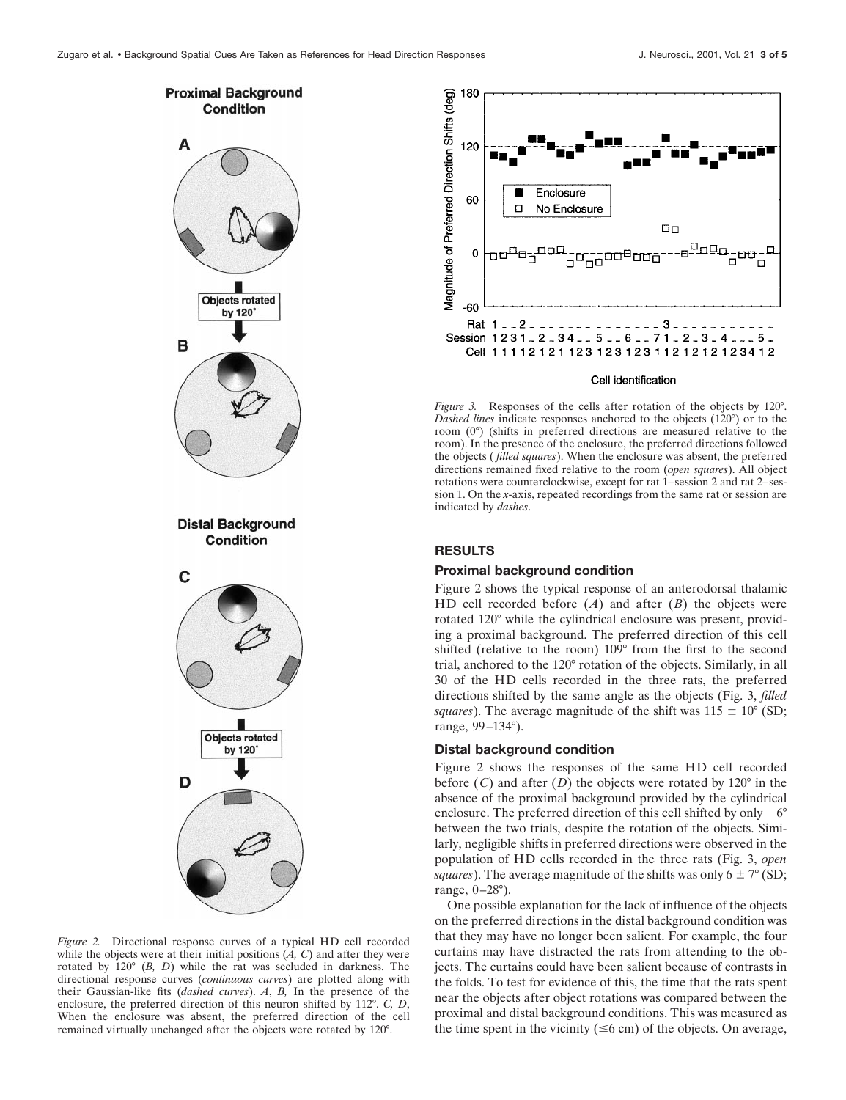

*Figure 2.* Directional response curves of a typical HD cell recorded while the objects were at their initial positions  $(A, C)$  and after they were rotated by 120° (*B, D*) while the rat was secluded in darkness. The directional response curves (*continuous curves*) are plotted along with their Gaussian-like fits (*dashed curves*). *A*, *B,* In the presence of the enclosure, the preferred direction of this neuron shifted by 112°. *C, D*, When the enclosure was absent, the preferred direction of the cell remained virtually unchanged after the objects were rotated by 120°.



*Figure 3.* Responses of the cells after rotation of the objects by 120°. *Dashed lines* indicate responses anchored to the objects (120°) or to the room (0°) (shifts in preferred directions are measured relative to the room). In the presence of the enclosure, the preferred directions followed the objects ( *filled squares*). When the enclosure was absent, the preferred directions remained fixed relative to the room (*open squares*). All object rotations were counterclockwise, except for rat 1–session 2 and rat 2–session 1. On the *x*-axis, repeated recordings from the same rat or session are indicated by *dashes*.

#### **RESULTS**

#### **Proximal background condition**

Figure 2 shows the typical response of an anterodorsal thalamic HD cell recorded before (*A*) and after (*B*) the objects were rotated 120° while the cylindrical enclosure was present, providing a proximal background. The preferred direction of this cell shifted (relative to the room) 109° from the first to the second trial, anchored to the 120° rotation of the objects. Similarly, in all 30 of the HD cells recorded in the three rats, the preferred directions shifted by the same angle as the objects (Fig. 3, *filled squares*). The average magnitude of the shift was  $115 \pm 10^{\circ}$  (SD; range, 99–134°).

## **Distal background condition**

Figure 2 shows the responses of the same HD cell recorded before  $(C)$  and after  $(D)$  the objects were rotated by 120 $\degree$  in the absence of the proximal background provided by the cylindrical enclosure. The preferred direction of this cell shifted by only  $-6^{\circ}$ between the two trials, despite the rotation of the objects. Similarly, negligible shifts in preferred directions were observed in the population of HD cells recorded in the three rats (Fig. 3, *open squares*). The average magnitude of the shifts was only  $6 \pm 7^{\circ}$  (SD; range, 0–28°).

One possible explanation for the lack of influence of the objects on the preferred directions in the distal background condition was that they may have no longer been salient. For example, the four curtains may have distracted the rats from attending to the objects. The curtains could have been salient because of contrasts in the folds. To test for evidence of this, the time that the rats spent near the objects after object rotations was compared between the proximal and distal background conditions. This was measured as the time spent in the vicinity ( $\leq 6$  cm) of the objects. On average,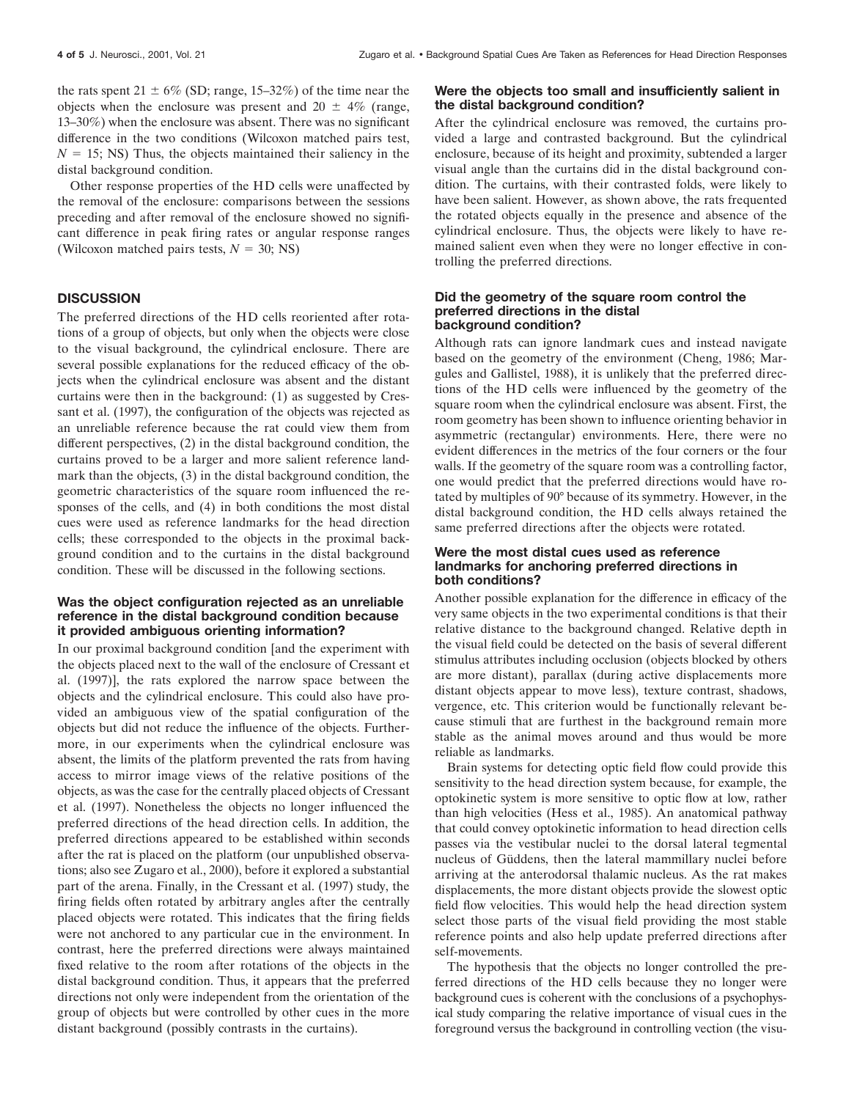the rats spent  $21 \pm 6\%$  (SD; range, 15–32%) of the time near the objects when the enclosure was present and  $20 \pm 4\%$  (range, 13–30%) when the enclosure was absent. There was no significant difference in the two conditions (Wilcoxon matched pairs test,  $N = 15$ ; NS) Thus, the objects maintained their saliency in the distal background condition.

Other response properties of the HD cells were unaffected by the removal of the enclosure: comparisons between the sessions preceding and after removal of the enclosure showed no significant difference in peak firing rates or angular response ranges (Wilcoxon matched pairs tests,  $N = 30$ ; NS)

## **DISCUSSION**

The preferred directions of the HD cells reoriented after rotations of a group of objects, but only when the objects were close to the visual background, the cylindrical enclosure. There are several possible explanations for the reduced efficacy of the objects when the cylindrical enclosure was absent and the distant curtains were then in the background: (1) as suggested by Cressant et al. (1997), the configuration of the objects was rejected as an unreliable reference because the rat could view them from different perspectives, (2) in the distal background condition, the curtains proved to be a larger and more salient reference landmark than the objects, (3) in the distal background condition, the geometric characteristics of the square room influenced the responses of the cells, and (4) in both conditions the most distal cues were used as reference landmarks for the head direction cells; these corresponded to the objects in the proximal background condition and to the curtains in the distal background condition. These will be discussed in the following sections.

## **Was the object configuration rejected as an unreliable reference in the distal background condition because it provided ambiguous orienting information?**

In our proximal background condition [and the experiment with the objects placed next to the wall of the enclosure of Cressant et al. (1997)], the rats explored the narrow space between the objects and the cylindrical enclosure. This could also have provided an ambiguous view of the spatial configuration of the objects but did not reduce the influence of the objects. Furthermore, in our experiments when the cylindrical enclosure was absent, the limits of the platform prevented the rats from having access to mirror image views of the relative positions of the objects, as was the case for the centrally placed objects of Cressant et al. (1997). Nonetheless the objects no longer influenced the preferred directions of the head direction cells. In addition, the preferred directions appeared to be established within seconds after the rat is placed on the platform (our unpublished observations; also see Zugaro et al., 2000), before it explored a substantial part of the arena. Finally, in the Cressant et al. (1997) study, the firing fields often rotated by arbitrary angles after the centrally placed objects were rotated. This indicates that the firing fields were not anchored to any particular cue in the environment. In contrast, here the preferred directions were always maintained fixed relative to the room after rotations of the objects in the distal background condition. Thus, it appears that the preferred directions not only were independent from the orientation of the group of objects but were controlled by other cues in the more distant background (possibly contrasts in the curtains).

## **Were the objects too small and insufficiently salient in the distal background condition?**

After the cylindrical enclosure was removed, the curtains provided a large and contrasted background. But the cylindrical enclosure, because of its height and proximity, subtended a larger visual angle than the curtains did in the distal background condition. The curtains, with their contrasted folds, were likely to have been salient. However, as shown above, the rats frequented the rotated objects equally in the presence and absence of the cylindrical enclosure. Thus, the objects were likely to have remained salient even when they were no longer effective in controlling the preferred directions.

#### **Did the geometry of the square room control the preferred directions in the distal background condition?**

Although rats can ignore landmark cues and instead navigate based on the geometry of the environment (Cheng, 1986; Margules and Gallistel, 1988), it is unlikely that the preferred directions of the HD cells were influenced by the geometry of the square room when the cylindrical enclosure was absent. First, the room geometry has been shown to influence orienting behavior in asymmetric (rectangular) environments. Here, there were no evident differences in the metrics of the four corners or the four walls. If the geometry of the square room was a controlling factor, one would predict that the preferred directions would have rotated by multiples of 90° because of its symmetry. However, in the distal background condition, the HD cells always retained the same preferred directions after the objects were rotated.

## **Were the most distal cues used as reference landmarks for anchoring preferred directions in both conditions?**

Another possible explanation for the difference in efficacy of the very same objects in the two experimental conditions is that their relative distance to the background changed. Relative depth in the visual field could be detected on the basis of several different stimulus attributes including occlusion (objects blocked by others are more distant), parallax (during active displacements more distant objects appear to move less), texture contrast, shadows, vergence, etc. This criterion would be functionally relevant because stimuli that are furthest in the background remain more stable as the animal moves around and thus would be more reliable as landmarks.

Brain systems for detecting optic field flow could provide this sensitivity to the head direction system because, for example, the optokinetic system is more sensitive to optic flow at low, rather than high velocities (Hess et al., 1985). An anatomical pathway that could convey optokinetic information to head direction cells passes via the vestibular nuclei to the dorsal lateral tegmental nucleus of Güddens, then the lateral mammillary nuclei before arriving at the anterodorsal thalamic nucleus. As the rat makes displacements, the more distant objects provide the slowest optic field flow velocities. This would help the head direction system select those parts of the visual field providing the most stable reference points and also help update preferred directions after self-movements.

The hypothesis that the objects no longer controlled the preferred directions of the HD cells because they no longer were background cues is coherent with the conclusions of a psychophysical study comparing the relative importance of visual cues in the foreground versus the background in controlling vection (the visu